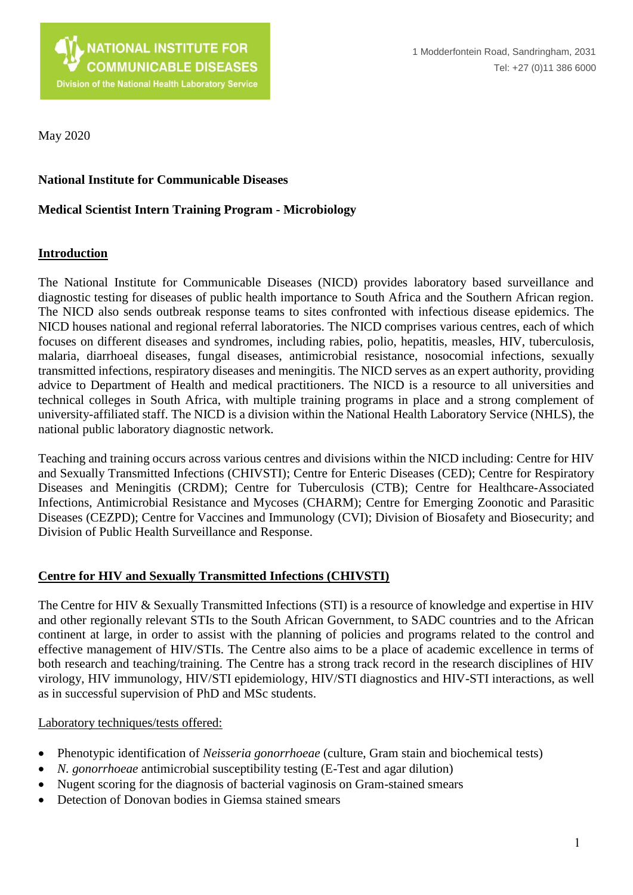

May 2020

#### **National Institute for Communicable Diseases**

#### **Medical Scientist Intern Training Program - Microbiology**

#### **Introduction**

The National Institute for Communicable Diseases (NICD) provides laboratory based surveillance and diagnostic testing for diseases of public health importance to South Africa and the Southern African region. The NICD also sends outbreak response teams to sites confronted with infectious disease epidemics. The NICD houses national and regional referral laboratories. The NICD comprises various centres, each of which focuses on different diseases and syndromes, including rabies, polio, hepatitis, measles, HIV, tuberculosis, malaria, diarrhoeal diseases, fungal diseases, antimicrobial resistance, nosocomial infections, sexually transmitted infections, respiratory diseases and meningitis. The NICD serves as an expert authority, providing advice to Department of Health and medical practitioners. The NICD is a resource to all universities and technical colleges in South Africa, with multiple training programs in place and a strong complement of university-affiliated staff. The NICD is a division within the National Health Laboratory Service (NHLS), the national public laboratory diagnostic network.

Teaching and training occurs across various centres and divisions within the NICD including: Centre for HIV and Sexually Transmitted Infections (CHIVSTI); Centre for Enteric Diseases (CED); Centre for Respiratory Diseases and Meningitis (CRDM); Centre for Tuberculosis (CTB); Centre for Healthcare-Associated Infections, Antimicrobial Resistance and Mycoses (CHARM); Centre for Emerging Zoonotic and Parasitic Diseases (CEZPD); Centre for Vaccines and Immunology (CVI); Division of Biosafety and Biosecurity; and Division of Public Health Surveillance and Response.

#### **Centre for HIV and Sexually Transmitted Infections (CHIVSTI)**

The Centre for HIV & Sexually Transmitted Infections (STI) is a resource of knowledge and expertise in HIV and other regionally relevant STIs to the South African Government, to SADC countries and to the African continent at large, in order to assist with the planning of policies and programs related to the control and effective management of HIV/STIs. The Centre also aims to be a place of academic excellence in terms of both research and teaching/training. The Centre has a strong track record in the research disciplines of HIV virology, HIV immunology, HIV/STI epidemiology, HIV/STI diagnostics and HIV-STI interactions, as well as in successful supervision of PhD and MSc students.

#### Laboratory techniques/tests offered:

- Phenotypic identification of *Neisseria gonorrhoeae* (culture, Gram stain and biochemical tests)
- *N. gonorrhoeae* antimicrobial susceptibility testing (E-Test and agar dilution)
- Nugent scoring for the diagnosis of bacterial vaginosis on Gram-stained smears
- Detection of Donovan bodies in Giemsa stained smears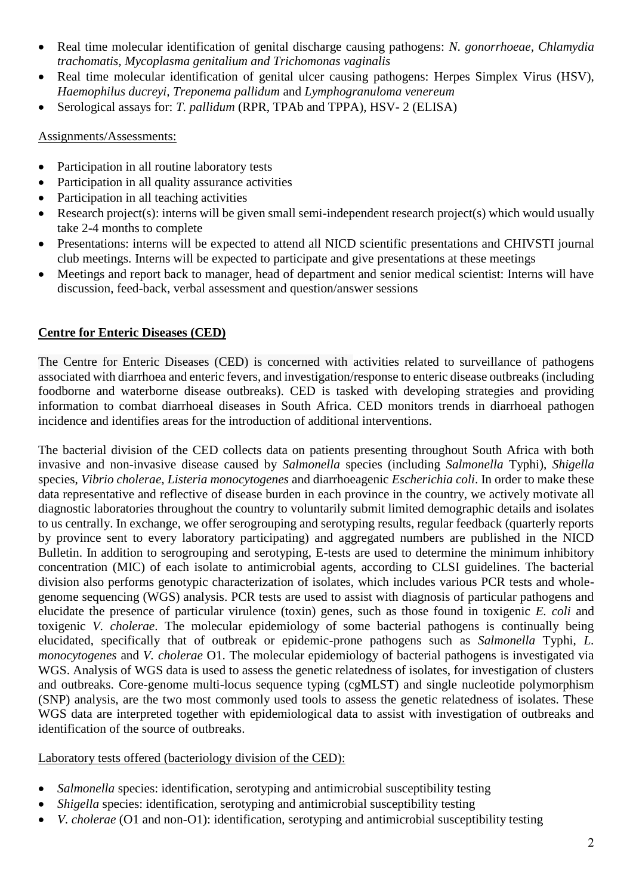- Real time molecular identification of genital discharge causing pathogens: *N. gonorrhoeae, Chlamydia trachomatis, Mycoplasma genitalium and Trichomonas vaginalis*
- Real time molecular identification of genital ulcer causing pathogens: Herpes Simplex Virus (HSV), *Haemophilus ducreyi, Treponema pallidum* and *Lymphogranuloma venereum*
- Serological assays for: *T. pallidum* (RPR, TPAb and TPPA), HSV- 2 (ELISA)

Assignments/Assessments:

- Participation in all routine laboratory tests
- Participation in all quality assurance activities
- Participation in all teaching activities
- Research project(s): interns will be given small semi-independent research project(s) which would usually take 2-4 months to complete
- Presentations: interns will be expected to attend all NICD scientific presentations and CHIVSTI journal club meetings. Interns will be expected to participate and give presentations at these meetings
- Meetings and report back to manager, head of department and senior medical scientist: Interns will have discussion, feed-back, verbal assessment and question/answer sessions

#### **Centre for Enteric Diseases (CED)**

The Centre for Enteric Diseases (CED) is concerned with activities related to surveillance of pathogens associated with diarrhoea and enteric fevers, and investigation/response to enteric disease outbreaks (including foodborne and waterborne disease outbreaks). CED is tasked with developing strategies and providing information to combat diarrhoeal diseases in South Africa. CED monitors trends in diarrhoeal pathogen incidence and identifies areas for the introduction of additional interventions.

The bacterial division of the CED collects data on patients presenting throughout South Africa with both invasive and non-invasive disease caused by *Salmonella* species (including *Salmonella* Typhi), *Shigella* species, *Vibrio cholerae*, *Listeria monocytogenes* and diarrhoeagenic *Escherichia coli*. In order to make these data representative and reflective of disease burden in each province in the country, we actively motivate all diagnostic laboratories throughout the country to voluntarily submit limited demographic details and isolates to us centrally. In exchange, we offer serogrouping and serotyping results, regular feedback (quarterly reports by province sent to every laboratory participating) and aggregated numbers are published in the NICD Bulletin. In addition to serogrouping and serotyping, E-tests are used to determine the minimum inhibitory concentration (MIC) of each isolate to antimicrobial agents, according to CLSI guidelines. The bacterial division also performs genotypic characterization of isolates, which includes various PCR tests and wholegenome sequencing (WGS) analysis. PCR tests are used to assist with diagnosis of particular pathogens and elucidate the presence of particular virulence (toxin) genes, such as those found in toxigenic *E. coli* and toxigenic *V. cholerae*. The molecular epidemiology of some bacterial pathogens is continually being elucidated, specifically that of outbreak or epidemic-prone pathogens such as *Salmonella* Typhi, *L. monocytogenes* and *V. cholerae* O1. The molecular epidemiology of bacterial pathogens is investigated via WGS. Analysis of WGS data is used to assess the genetic relatedness of isolates, for investigation of clusters and outbreaks. Core-genome multi-locus sequence typing (cgMLST) and single nucleotide polymorphism (SNP) analysis, are the two most commonly used tools to assess the genetic relatedness of isolates. These WGS data are interpreted together with epidemiological data to assist with investigation of outbreaks and identification of the source of outbreaks.

Laboratory tests offered (bacteriology division of the CED):

- *Salmonella* species: identification, serotyping and antimicrobial susceptibility testing
- *Shigella* species: identification, serotyping and antimicrobial susceptibility testing
- *V. cholerae* (O1 and non-O1): identification, serotyping and antimicrobial susceptibility testing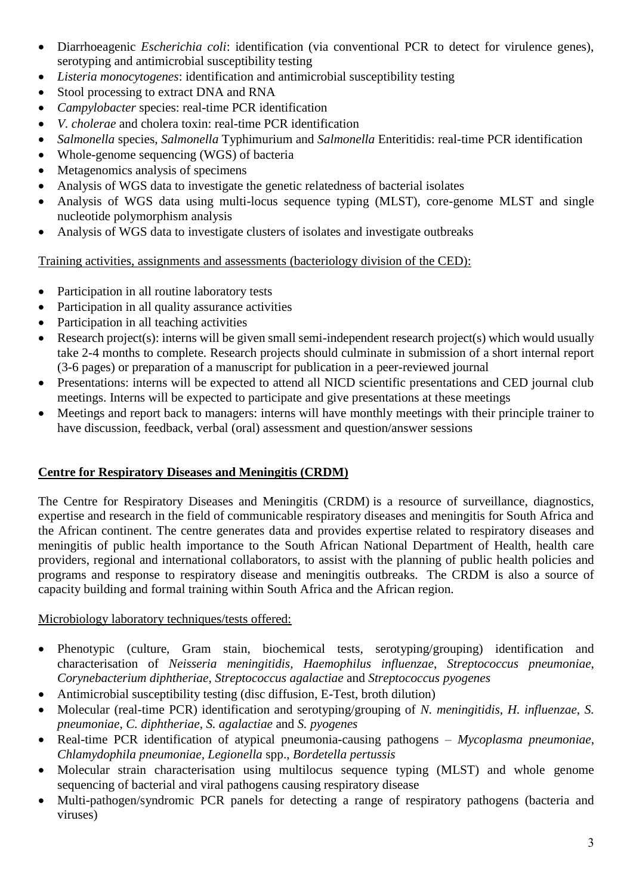- Diarrhoeagenic *Escherichia coli*: identification (via conventional PCR to detect for virulence genes), serotyping and antimicrobial susceptibility testing
- *Listeria monocytogenes*: identification and antimicrobial susceptibility testing
- Stool processing to extract DNA and RNA
- *Campylobacter* species: real-time PCR identification
- *V. cholerae* and cholera toxin: real-time PCR identification
- *Salmonella* species, *Salmonella* Typhimurium and *Salmonella* Enteritidis: real-time PCR identification
- Whole-genome sequencing (WGS) of bacteria
- Metagenomics analysis of specimens
- Analysis of WGS data to investigate the genetic relatedness of bacterial isolates
- Analysis of WGS data using multi-locus sequence typing (MLST), core-genome MLST and single nucleotide polymorphism analysis
- Analysis of WGS data to investigate clusters of isolates and investigate outbreaks

# Training activities, assignments and assessments (bacteriology division of the CED):

- Participation in all routine laboratory tests
- Participation in all quality assurance activities
- Participation in all teaching activities
- Research project(s): interns will be given small semi-independent research project(s) which would usually take 2-4 months to complete. Research projects should culminate in submission of a short internal report (3-6 pages) or preparation of a manuscript for publication in a peer-reviewed journal
- Presentations: interns will be expected to attend all NICD scientific presentations and CED journal club meetings. Interns will be expected to participate and give presentations at these meetings
- Meetings and report back to managers: interns will have monthly meetings with their principle trainer to have discussion, feedback, verbal (oral) assessment and question/answer sessions

# **Centre for Respiratory Diseases and Meningitis (CRDM)**

The Centre for Respiratory Diseases and Meningitis (CRDM) is a resource of surveillance, diagnostics, expertise and research in the field of communicable respiratory diseases and meningitis for South Africa and the African continent. The centre generates data and provides expertise related to respiratory diseases and meningitis of public health importance to the South African National Department of Health, health care providers, regional and international collaborators, to assist with the planning of public health policies and programs and response to respiratory disease and meningitis outbreaks. The CRDM is also a source of capacity building and formal training within South Africa and the African region.

## Microbiology laboratory techniques/tests offered:

- Phenotypic (culture, Gram stain, biochemical tests, serotyping/grouping) identification and characterisation of *Neisseria meningitidis, Haemophilus influenzae*, *Streptococcus pneumoniae*, *Corynebacterium diphtheriae*, *Streptococcus agalactiae* and *Streptococcus pyogenes*
- Antimicrobial susceptibility testing (disc diffusion, E-Test, broth dilution)
- Molecular (real-time PCR) identification and serotyping/grouping of *N. meningitidis, H. influenzae*, *S. pneumoniae*, *C. diphtheriae*, *S. agalactiae* and *S. pyogenes*
- Real-time PCR identification of atypical pneumonia-causing pathogens *Mycoplasma pneumoniae*, *Chlamydophila pneumoniae, Legionella* spp., *Bordetella pertussis*
- Molecular strain characterisation using multilocus sequence typing (MLST) and whole genome sequencing of bacterial and viral pathogens causing respiratory disease
- Multi-pathogen/syndromic PCR panels for detecting a range of respiratory pathogens (bacteria and viruses)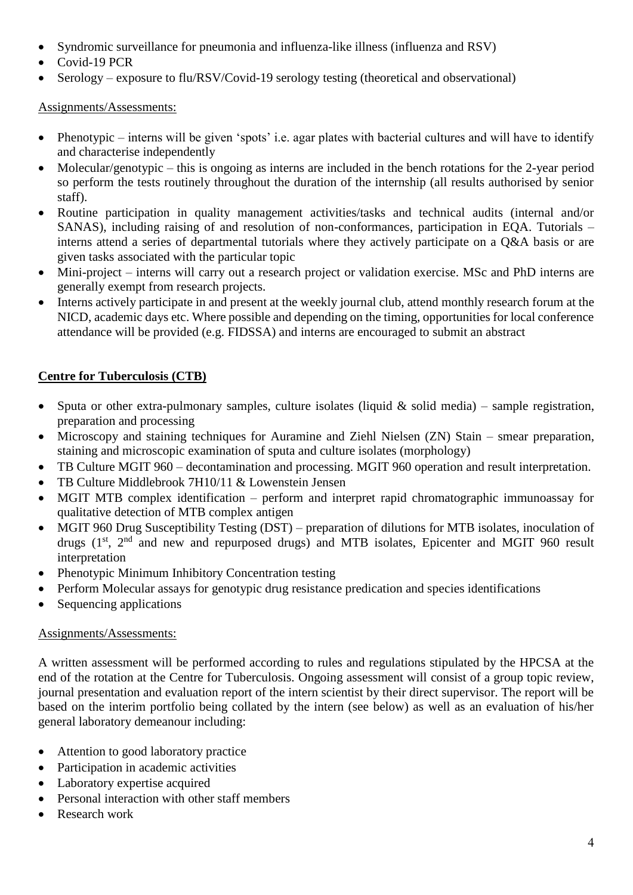- Syndromic surveillance for pneumonia and influenza-like illness (influenza and RSV)
- Covid-19 PCR
- Serology exposure to flu/RSV/Covid-19 serology testing (theoretical and observational)

# Assignments/Assessments:

- Phenotypic interns will be given 'spots' i.e. agar plates with bacterial cultures and will have to identify and characterise independently
- Molecular/genotypic this is ongoing as interns are included in the bench rotations for the 2-year period so perform the tests routinely throughout the duration of the internship (all results authorised by senior staff).
- Routine participation in quality management activities/tasks and technical audits (internal and/or SANAS), including raising of and resolution of non-conformances, participation in EQA. Tutorials – interns attend a series of departmental tutorials where they actively participate on a Q&A basis or are given tasks associated with the particular topic
- Mini-project interns will carry out a research project or validation exercise. MSc and PhD interns are generally exempt from research projects.
- Interns actively participate in and present at the weekly journal club, attend monthly research forum at the NICD, academic days etc. Where possible and depending on the timing, opportunities for local conference attendance will be provided (e.g. FIDSSA) and interns are encouraged to submit an abstract

# **Centre for Tuberculosis (CTB)**

- Sputa or other extra-pulmonary samples, culture isolates (liquid  $\&$  solid media) sample registration, preparation and processing
- Microscopy and staining techniques for Auramine and Ziehl Nielsen (ZN) Stain smear preparation, staining and microscopic examination of sputa and culture isolates (morphology)
- TB Culture MGIT 960 decontamination and processing. MGIT 960 operation and result interpretation.
- TB Culture Middlebrook 7H10/11 & Lowenstein Jensen
- MGIT MTB complex identification perform and interpret rapid chromatographic immunoassay for qualitative detection of MTB complex antigen
- MGIT 960 Drug Susceptibility Testing (DST) preparation of dilutions for MTB isolates, inoculation of drugs (1<sup>st</sup>, 2<sup>nd</sup> and new and repurposed drugs) and MTB isolates, Epicenter and MGIT 960 result interpretation
- Phenotypic Minimum Inhibitory Concentration testing
- Perform Molecular assays for genotypic drug resistance predication and species identifications
- Sequencing applications

## Assignments/Assessments:

A written assessment will be performed according to rules and regulations stipulated by the HPCSA at the end of the rotation at the Centre for Tuberculosis. Ongoing assessment will consist of a group topic review, journal presentation and evaluation report of the intern scientist by their direct supervisor. The report will be based on the interim portfolio being collated by the intern (see below) as well as an evaluation of his/her general laboratory demeanour including:

- Attention to good laboratory practice
- Participation in academic activities
- Laboratory expertise acquired
- Personal interaction with other staff members
- Research work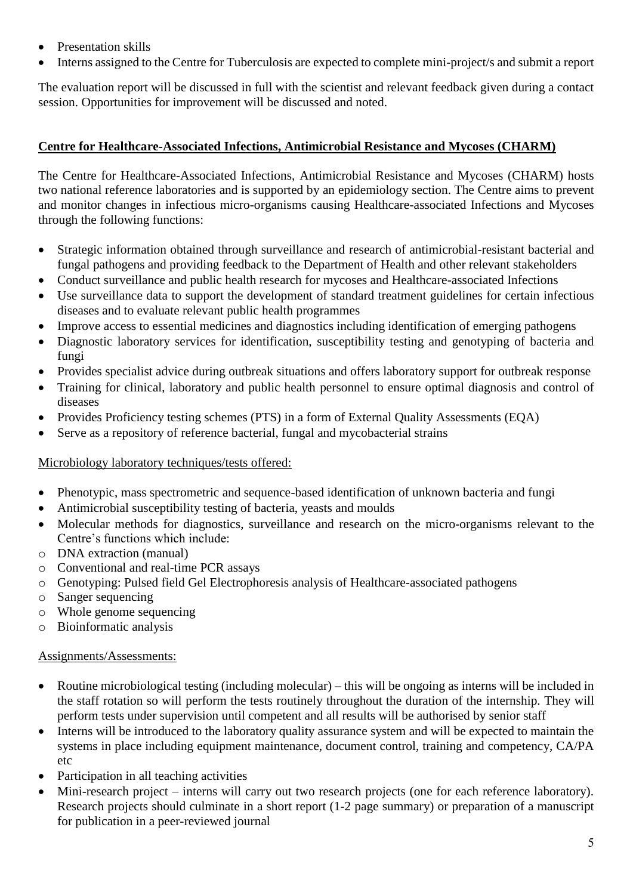- Presentation skills
- Interns assigned to the Centre for Tuberculosis are expected to complete mini-project/s and submit a report

The evaluation report will be discussed in full with the scientist and relevant feedback given during a contact session. Opportunities for improvement will be discussed and noted.

### **Centre for Healthcare-Associated Infections, Antimicrobial Resistance and Mycoses (CHARM)**

The Centre for Healthcare-Associated Infections, Antimicrobial Resistance and Mycoses (CHARM) hosts two national reference laboratories and is supported by an epidemiology section. The Centre aims to prevent and monitor changes in infectious micro-organisms causing Healthcare-associated Infections and Mycoses through the following functions:

- Strategic information obtained through surveillance and research of antimicrobial-resistant bacterial and fungal pathogens and providing feedback to the Department of Health and other relevant stakeholders
- Conduct surveillance and public health research for mycoses and Healthcare-associated Infections
- Use surveillance data to support the development of standard treatment guidelines for certain infectious diseases and to evaluate relevant public health programmes
- Improve access to essential medicines and diagnostics including identification of emerging pathogens
- Diagnostic laboratory services for identification, susceptibility testing and genotyping of bacteria and fungi
- Provides specialist advice during outbreak situations and offers laboratory support for outbreak response
- Training for clinical, laboratory and public health personnel to ensure optimal diagnosis and control of diseases
- Provides Proficiency testing schemes (PTS) in a form of External Quality Assessments (EQA)
- Serve as a repository of reference bacterial, fungal and mycobacterial strains

#### Microbiology laboratory techniques/tests offered:

- Phenotypic, mass spectrometric and sequence-based identification of unknown bacteria and fungi
- Antimicrobial susceptibility testing of bacteria, yeasts and moulds
- Molecular methods for diagnostics, surveillance and research on the micro-organisms relevant to the Centre's functions which include:
- o DNA extraction (manual)
- o Conventional and real-time PCR assays
- o Genotyping: Pulsed field Gel Electrophoresis analysis of Healthcare-associated pathogens
- o Sanger sequencing
- o Whole genome sequencing
- o Bioinformatic analysis

#### Assignments/Assessments:

- Routine microbiological testing (including molecular) this will be ongoing as interns will be included in the staff rotation so will perform the tests routinely throughout the duration of the internship. They will perform tests under supervision until competent and all results will be authorised by senior staff
- Interns will be introduced to the laboratory quality assurance system and will be expected to maintain the systems in place including equipment maintenance, document control, training and competency, CA/PA etc
- Participation in all teaching activities
- Mini-research project interns will carry out two research projects (one for each reference laboratory). Research projects should culminate in a short report (1-2 page summary) or preparation of a manuscript for publication in a peer-reviewed journal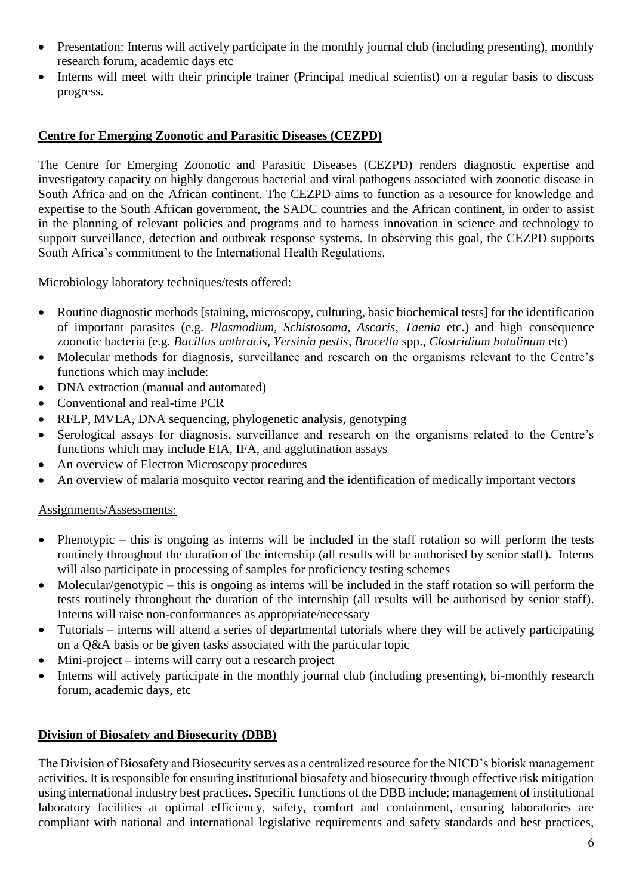- Presentation: Interns will actively participate in the monthly journal club (including presenting), monthly research forum, academic days etc
- Interns will meet with their principle trainer (Principal medical scientist) on a regular basis to discuss progress.

#### **Centre for Emerging Zoonotic and Parasitic Diseases (CEZPD)**

The Centre for Emerging Zoonotic and Parasitic Diseases (CEZPD) renders diagnostic expertise and investigatory capacity on highly dangerous bacterial and viral pathogens associated with zoonotic disease in South Africa and on the African continent. The CEZPD aims to function as a resource for knowledge and expertise to the South African government, the SADC countries and the African continent, in order to assist in the planning of relevant policies and programs and to harness innovation in science and technology to support surveillance, detection and outbreak response systems. In observing this goal, the CEZPD supports South Africa's commitment to the International Health Regulations.

Microbiology laboratory techniques/tests offered:

- Routine diagnostic methods [staining, microscopy, culturing, basic biochemical tests] for the identification of important parasites (e.g. *Plasmodium, Schistosoma, Ascaris, Taenia* etc.) and high consequence zoonotic bacteria (e.g. *Bacillus anthracis, Yersinia pestis*, *Brucella* spp., *Clostridium botulinum* etc)
- Molecular methods for diagnosis, surveillance and research on the organisms relevant to the Centre's functions which may include:
- DNA extraction (manual and automated)
- Conventional and real-time PCR
- RFLP, MVLA, DNA sequencing, phylogenetic analysis, genotyping
- Serological assays for diagnosis, surveillance and research on the organisms related to the Centre's functions which may include EIA, IFA, and agglutination assays
- An overview of Electron Microscopy procedures
- An overview of malaria mosquito vector rearing and the identification of medically important vectors

#### Assignments/Assessments:

- Phenotypic this is ongoing as interns will be included in the staff rotation so will perform the tests routinely throughout the duration of the internship (all results will be authorised by senior staff). Interns will also participate in processing of samples for proficiency testing schemes
- Molecular/genotypic this is ongoing as interns will be included in the staff rotation so will perform the tests routinely throughout the duration of the internship (all results will be authorised by senior staff). Interns will raise non-conformances as appropriate/necessary
- Tutorials interns will attend a series of departmental tutorials where they will be actively participating on a Q&A basis or be given tasks associated with the particular topic
- Mini-project interns will carry out a research project
- Interns will actively participate in the monthly journal club (including presenting), bi-monthly research forum, academic days, etc

## **Division of Biosafety and Biosecurity (DBB)**

The Division of Biosafety and Biosecurity serves as a centralized resource for the NICD's biorisk management activities. It is responsible for ensuring institutional biosafety and biosecurity through effective risk mitigation using international industry best practices. Specific functions of the DBB include; management of institutional laboratory facilities at optimal efficiency, safety, comfort and containment, ensuring laboratories are compliant with national and international legislative requirements and safety standards and best practices,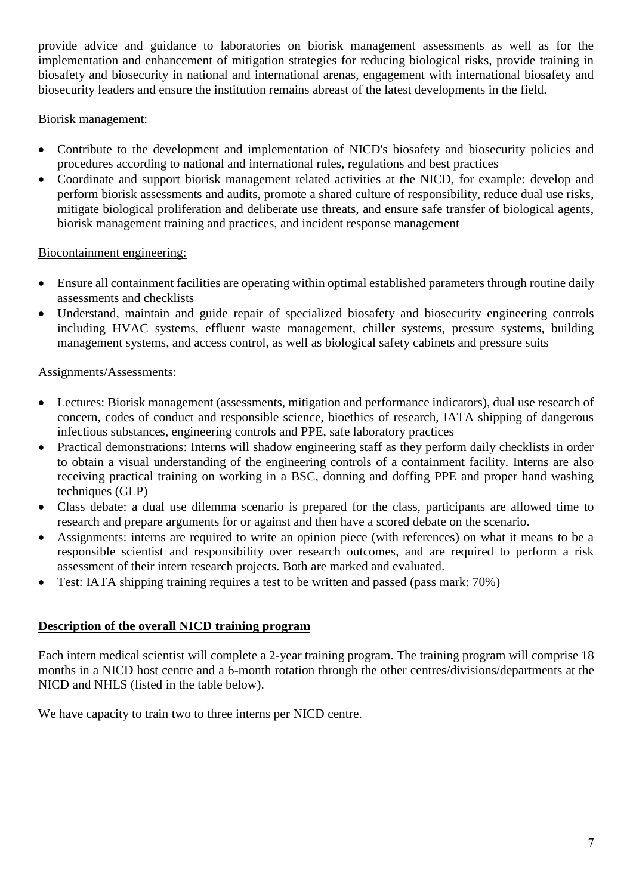provide advice and guidance to laboratories on biorisk management assessments as well as for the implementation and enhancement of mitigation strategies for reducing biological risks, provide training in biosafety and biosecurity in national and international arenas, engagement with international biosafety and biosecurity leaders and ensure the institution remains abreast of the latest developments in the field.

### Biorisk management:

- Contribute to the development and implementation of NICD's biosafety and biosecurity policies and procedures according to national and international rules, regulations and best practices
- Coordinate and support biorisk management related activities at the NICD, for example: develop and perform biorisk assessments and audits, promote a shared culture of responsibility, reduce dual use risks, mitigate biological proliferation and deliberate use threats, and ensure safe transfer of biological agents, biorisk management training and practices, and incident response management

### Biocontainment engineering:

- Ensure all containment facilities are operating within optimal established parameters through routine daily assessments and checklists
- Understand, maintain and guide repair of specialized biosafety and biosecurity engineering controls including HVAC systems, effluent waste management, chiller systems, pressure systems, building management systems, and access control, as well as biological safety cabinets and pressure suits

### Assignments/Assessments:

- Lectures: Biorisk management (assessments, mitigation and performance indicators), dual use research of concern, codes of conduct and responsible science, bioethics of research, IATA shipping of dangerous infectious substances, engineering controls and PPE, safe laboratory practices
- Practical demonstrations: Interns will shadow engineering staff as they perform daily checklists in order to obtain a visual understanding of the engineering controls of a containment facility. Interns are also receiving practical training on working in a BSC, donning and doffing PPE and proper hand washing techniques (GLP)
- Class debate: a dual use dilemma scenario is prepared for the class, participants are allowed time to research and prepare arguments for or against and then have a scored debate on the scenario.
- Assignments: interns are required to write an opinion piece (with references) on what it means to be a responsible scientist and responsibility over research outcomes, and are required to perform a risk assessment of their intern research projects. Both are marked and evaluated.
- Test: IATA shipping training requires a test to be written and passed (pass mark: 70%)

#### **Description of the overall NICD training program**

Each intern medical scientist will complete a 2-year training program. The training program will comprise 18 months in a NICD host centre and a 6-month rotation through the other centres/divisions/departments at the NICD and NHLS (listed in the table below).

We have capacity to train two to three interns per NICD centre.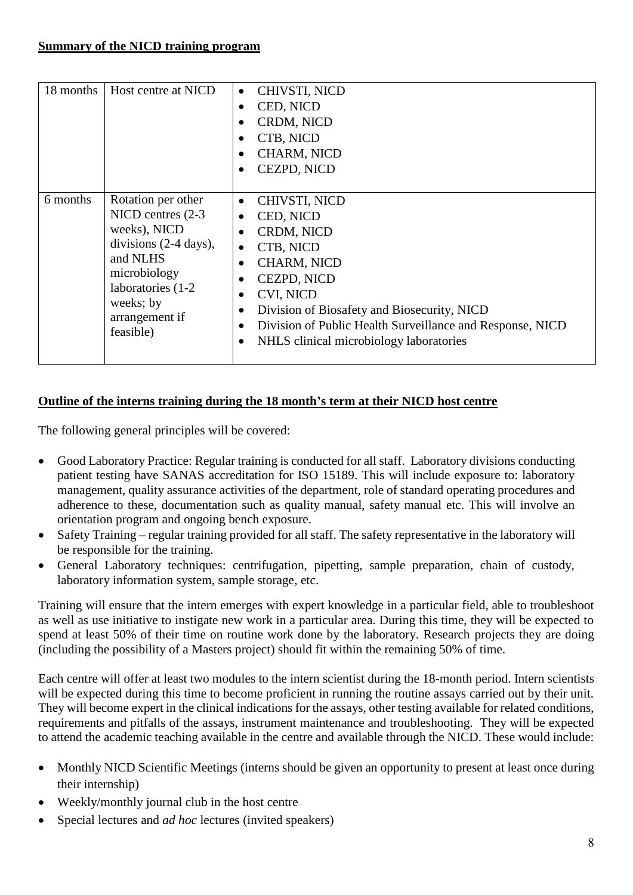| 18 months | Host centre at NICD                                                                                                                                                                        | CHIVSTI, NICD<br>$\bullet$<br>CED, NICD<br>$\bullet$<br>CRDM, NICD<br>$\bullet$<br>CTB, NICD<br>$\bullet$<br><b>CHARM, NICD</b><br>$\bullet$<br>CEZPD, NICD<br>$\bullet$                                                                                                                                                                                                                                |
|-----------|--------------------------------------------------------------------------------------------------------------------------------------------------------------------------------------------|---------------------------------------------------------------------------------------------------------------------------------------------------------------------------------------------------------------------------------------------------------------------------------------------------------------------------------------------------------------------------------------------------------|
| 6 months  | Rotation per other<br>NICD centres (2-3)<br>weeks), NICD<br>divisions $(2-4 \text{ days})$ ,<br>and NLHS<br>microbiology<br>laboratories (1-2)<br>weeks; by<br>arrangement if<br>feasible) | CHIVSTI, NICD<br>$\bullet$<br>CED, NICD<br>$\bullet$<br>CRDM, NICD<br>$\bullet$<br>CTB, NICD<br>$\bullet$<br><b>CHARM, NICD</b><br>$\bullet$<br>CEZPD, NICD<br>$\bullet$<br><b>CVI, NICD</b><br>$\bullet$<br>Division of Biosafety and Biosecurity, NICD<br>$\bullet$<br>Division of Public Health Surveillance and Response, NICD<br>$\bullet$<br>NHLS clinical microbiology laboratories<br>$\bullet$ |

# **Outline of the interns training during the 18 month's term at their NICD host centre**

The following general principles will be covered:

- Good Laboratory Practice: Regular training is conducted for all staff. Laboratory divisions conducting patient testing have SANAS accreditation for ISO 15189. This will include exposure to: laboratory management, quality assurance activities of the department, role of standard operating procedures and adherence to these, documentation such as quality manual, safety manual etc. This will involve an orientation program and ongoing bench exposure.
- Safety Training regular training provided for all staff. The safety representative in the laboratory will be responsible for the training.
- General Laboratory techniques: centrifugation, pipetting, sample preparation, chain of custody, laboratory information system, sample storage, etc.

Training will ensure that the intern emerges with expert knowledge in a particular field, able to troubleshoot as well as use initiative to instigate new work in a particular area. During this time, they will be expected to spend at least 50% of their time on routine work done by the laboratory. Research projects they are doing (including the possibility of a Masters project) should fit within the remaining 50% of time.

Each centre will offer at least two modules to the intern scientist during the 18-month period. Intern scientists will be expected during this time to become proficient in running the routine assays carried out by their unit. They will become expert in the clinical indications for the assays, other testing available for related conditions, requirements and pitfalls of the assays, instrument maintenance and troubleshooting. They will be expected to attend the academic teaching available in the centre and available through the NICD. These would include:

- Monthly NICD Scientific Meetings (interns should be given an opportunity to present at least once during their internship)
- Weekly/monthly journal club in the host centre
- Special lectures and *ad hoc* lectures (invited speakers)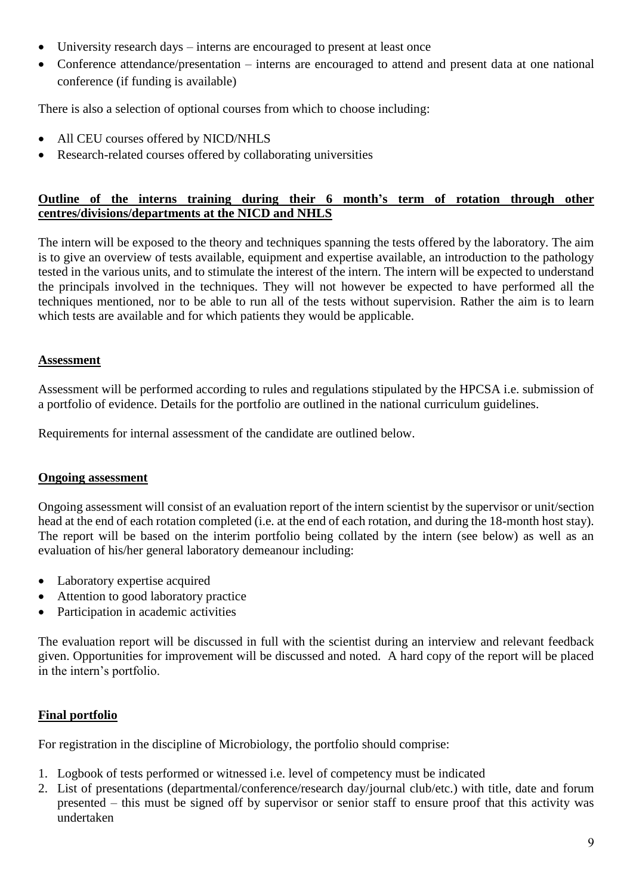- University research days interns are encouraged to present at least once
- Conference attendance/presentation interns are encouraged to attend and present data at one national conference (if funding is available)

There is also a selection of optional courses from which to choose including:

- All CEU courses offered by NICD/NHLS
- Research-related courses offered by collaborating universities

#### **Outline of the interns training during their 6 month's term of rotation through other centres/divisions/departments at the NICD and NHLS**

The intern will be exposed to the theory and techniques spanning the tests offered by the laboratory. The aim is to give an overview of tests available, equipment and expertise available, an introduction to the pathology tested in the various units, and to stimulate the interest of the intern. The intern will be expected to understand the principals involved in the techniques. They will not however be expected to have performed all the techniques mentioned, nor to be able to run all of the tests without supervision. Rather the aim is to learn which tests are available and for which patients they would be applicable.

### **Assessment**

Assessment will be performed according to rules and regulations stipulated by the HPCSA i.e. submission of a portfolio of evidence. Details for the portfolio are outlined in the national curriculum guidelines.

Requirements for internal assessment of the candidate are outlined below.

#### **Ongoing assessment**

Ongoing assessment will consist of an evaluation report of the intern scientist by the supervisor or unit/section head at the end of each rotation completed (i.e. at the end of each rotation, and during the 18-month host stay). The report will be based on the interim portfolio being collated by the intern (see below) as well as an evaluation of his/her general laboratory demeanour including:

- Laboratory expertise acquired
- Attention to good laboratory practice
- Participation in academic activities

The evaluation report will be discussed in full with the scientist during an interview and relevant feedback given. Opportunities for improvement will be discussed and noted. A hard copy of the report will be placed in the intern's portfolio.

#### **Final portfolio**

For registration in the discipline of Microbiology, the portfolio should comprise:

- 1. Logbook of tests performed or witnessed i.e. level of competency must be indicated
- 2. List of presentations (departmental/conference/research day/journal club/etc.) with title, date and forum presented – this must be signed off by supervisor or senior staff to ensure proof that this activity was undertaken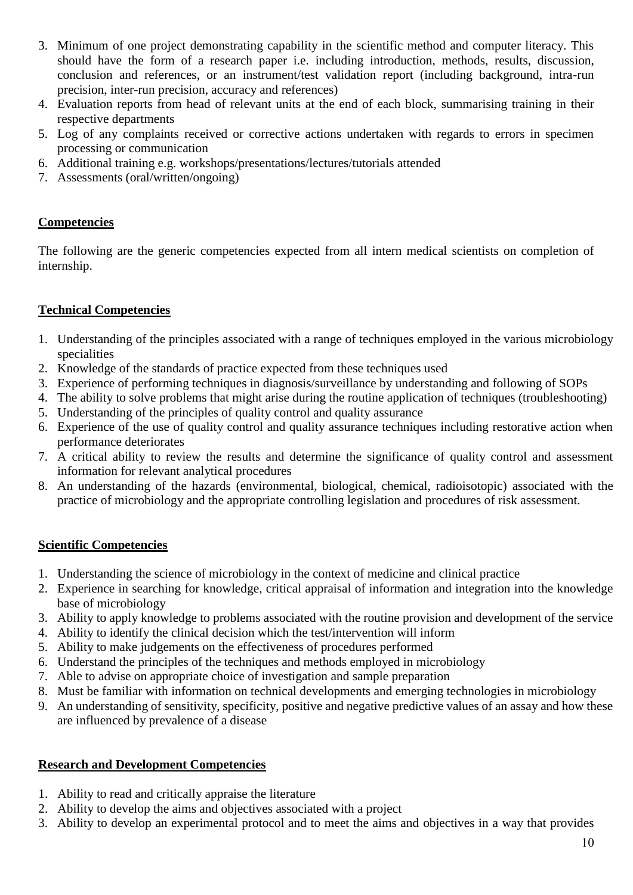- 3. Minimum of one project demonstrating capability in the scientific method and computer literacy. This should have the form of a research paper i.e. including introduction, methods, results, discussion, conclusion and references, or an instrument/test validation report (including background, intra-run precision, inter-run precision, accuracy and references)
- 4. Evaluation reports from head of relevant units at the end of each block, summarising training in their respective departments
- 5. Log of any complaints received or corrective actions undertaken with regards to errors in specimen processing or communication
- 6. Additional training e.g. workshops/presentations/lectures/tutorials attended
- 7. Assessments (oral/written/ongoing)

### **Competencies**

The following are the generic competencies expected from all intern medical scientists on completion of internship.

### **Technical Competencies**

- 1. Understanding of the principles associated with a range of techniques employed in the various microbiology specialities
- 2. Knowledge of the standards of practice expected from these techniques used
- 3. Experience of performing techniques in diagnosis/surveillance by understanding and following of SOPs
- 4. The ability to solve problems that might arise during the routine application of techniques (troubleshooting)
- 5. Understanding of the principles of quality control and quality assurance
- 6. Experience of the use of quality control and quality assurance techniques including restorative action when performance deteriorates
- 7. A critical ability to review the results and determine the significance of quality control and assessment information for relevant analytical procedures
- 8. An understanding of the hazards (environmental, biological, chemical, radioisotopic) associated with the practice of microbiology and the appropriate controlling legislation and procedures of risk assessment.

#### **Scientific Competencies**

- 1. Understanding the science of microbiology in the context of medicine and clinical practice
- 2. Experience in searching for knowledge, critical appraisal of information and integration into the knowledge base of microbiology
- 3. Ability to apply knowledge to problems associated with the routine provision and development of the service
- 4. Ability to identify the clinical decision which the test/intervention will inform
- 5. Ability to make judgements on the effectiveness of procedures performed
- 6. Understand the principles of the techniques and methods employed in microbiology
- 7. Able to advise on appropriate choice of investigation and sample preparation
- 8. Must be familiar with information on technical developments and emerging technologies in microbiology
- 9. An understanding of sensitivity, specificity, positive and negative predictive values of an assay and how these are influenced by prevalence of a disease

## **Research and Development Competencies**

- 1. Ability to read and critically appraise the literature
- 2. Ability to develop the aims and objectives associated with a project
- 3. Ability to develop an experimental protocol and to meet the aims and objectives in a way that provides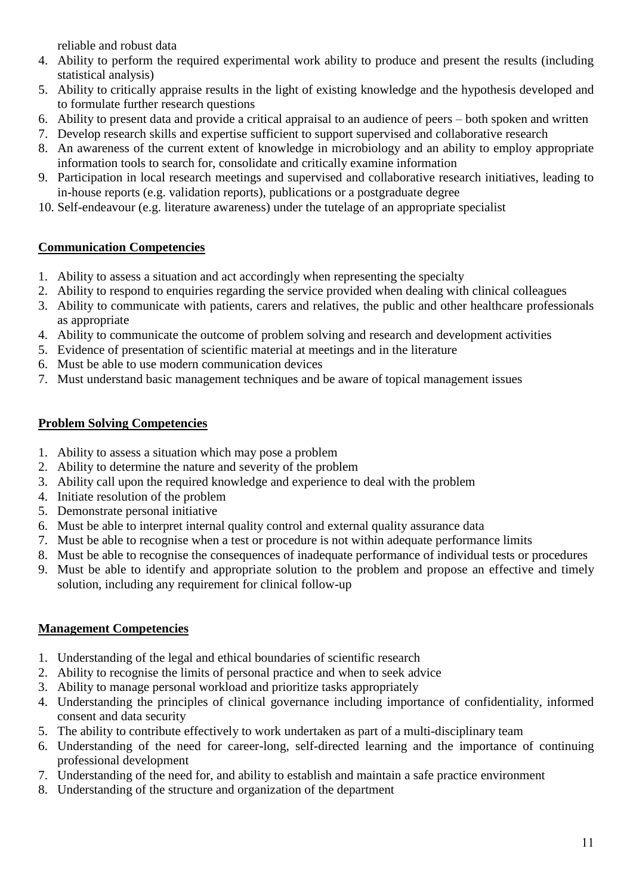reliable and robust data

- 4. Ability to perform the required experimental work ability to produce and present the results (including statistical analysis)
- 5. Ability to critically appraise results in the light of existing knowledge and the hypothesis developed and to formulate further research questions
- 6. Ability to present data and provide a critical appraisal to an audience of peers both spoken and written
- 7. Develop research skills and expertise sufficient to support supervised and collaborative research
- 8. An awareness of the current extent of knowledge in microbiology and an ability to employ appropriate information tools to search for, consolidate and critically examine information
- 9. Participation in local research meetings and supervised and collaborative research initiatives, leading to in-house reports (e.g. validation reports), publications or a postgraduate degree
- 10. Self-endeavour (e.g. literature awareness) under the tutelage of an appropriate specialist

# **Communication Competencies**

- 1. Ability to assess a situation and act accordingly when representing the specialty
- 2. Ability to respond to enquiries regarding the service provided when dealing with clinical colleagues
- 3. Ability to communicate with patients, carers and relatives, the public and other healthcare professionals as appropriate
- 4. Ability to communicate the outcome of problem solving and research and development activities
- 5. Evidence of presentation of scientific material at meetings and in the literature
- 6. Must be able to use modern communication devices
- 7. Must understand basic management techniques and be aware of topical management issues

# **Problem Solving Competencies**

- 1. Ability to assess a situation which may pose a problem
- 2. Ability to determine the nature and severity of the problem
- 3. Ability call upon the required knowledge and experience to deal with the problem
- 4. Initiate resolution of the problem
- 5. Demonstrate personal initiative
- 6. Must be able to interpret internal quality control and external quality assurance data
- 7. Must be able to recognise when a test or procedure is not within adequate performance limits
- 8. Must be able to recognise the consequences of inadequate performance of individual tests or procedures
- 9. Must be able to identify and appropriate solution to the problem and propose an effective and timely solution, including any requirement for clinical follow-up

# **Management Competencies**

- 1. Understanding of the legal and ethical boundaries of scientific research
- 2. Ability to recognise the limits of personal practice and when to seek advice
- 3. Ability to manage personal workload and prioritize tasks appropriately
- 4. Understanding the principles of clinical governance including importance of confidentiality, informed consent and data security
- 5. The ability to contribute effectively to work undertaken as part of a multi-disciplinary team
- 6. Understanding of the need for career-long, self-directed learning and the importance of continuing professional development
- 7. Understanding of the need for, and ability to establish and maintain a safe practice environment
- 8. Understanding of the structure and organization of the department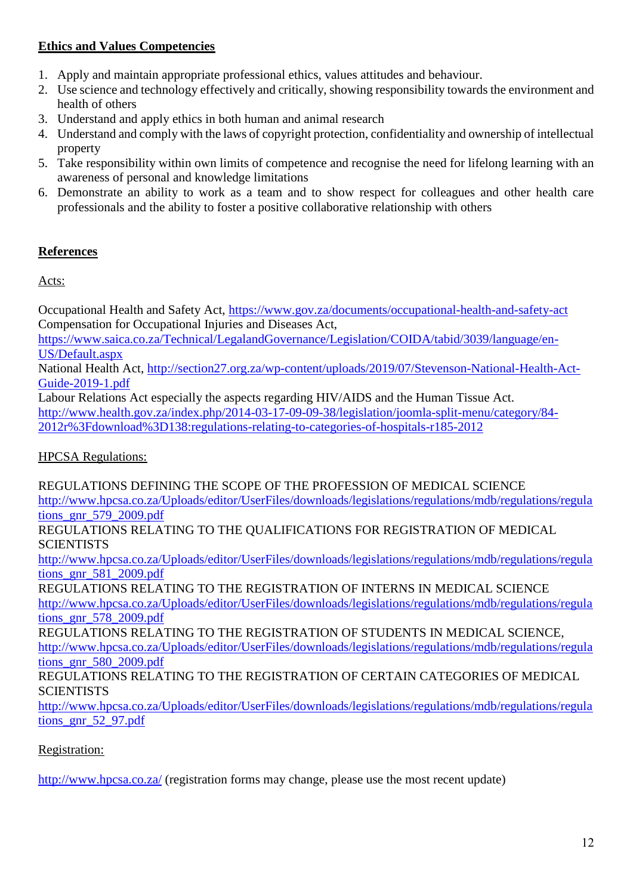## **Ethics and Values Competencies**

- 1. Apply and maintain appropriate professional ethics, values attitudes and behaviour.
- 2. Use science and technology effectively and critically, showing responsibility towards the environment and health of others
- 3. Understand and apply ethics in both human and animal research
- 4. Understand and comply with the laws of copyright protection, confidentiality and ownership of intellectual property
- 5. Take responsibility within own limits of competence and recognise the need for lifelong learning with an awareness of personal and knowledge limitations
- 6. Demonstrate an ability to work as a team and to show respect for colleagues and other health care professionals and the ability to foster a positive collaborative relationship with others

# **References**

Acts:

Occupational Health and Safety Act,<https://www.gov.za/documents/occupational-health-and-safety-act> Compensation for Occupational Injuries and Diseases Act,

[https://www.saica.co.za/Technical/LegalandGovernance/Legislation/COIDA/tabid/3039/language/en-](https://www.saica.co.za/Technical/LegalandGovernance/Legislation/COIDA/tabid/3039/language/en-US/Default.aspx)[US/Default.aspx](https://www.saica.co.za/Technical/LegalandGovernance/Legislation/COIDA/tabid/3039/language/en-US/Default.aspx)

National Health Act, [http://section27.org.za/wp-content/uploads/2019/07/Stevenson-National-Health-Act-](http://section27.org.za/wp-content/uploads/2019/07/Stevenson-National-Health-Act-Guide-2019-1.pdf)[Guide-2019-1.pdf](http://section27.org.za/wp-content/uploads/2019/07/Stevenson-National-Health-Act-Guide-2019-1.pdf)

Labour Relations Act especially the aspects regarding HIV/AIDS and the Human Tissue Act. [http://www.health.gov.za/index.php/2014-03-17-09-09-38/legislation/joomla-split-menu/category/84-](http://www.health.gov.za/index.php/2014-03-17-09-09-38/legislation/joomla-split-menu/category/84-2012r%3Fdownload%3D138:regulations-relating-to-categories-of-hospitals-r185-2012) [2012r%3Fdownload%3D138:regulations-relating-to-categories-of-hospitals-r185-2012](http://www.health.gov.za/index.php/2014-03-17-09-09-38/legislation/joomla-split-menu/category/84-2012r%3Fdownload%3D138:regulations-relating-to-categories-of-hospitals-r185-2012)

HPCSA Regulations:

REGULATIONS DEFINING THE SCOPE OF THE PROFESSION OF MEDICAL SCIENCE [http://www.hpcsa.co.za/Uploads/editor/UserFiles/downloads/legislations/regulations/mdb/regulations/regula](http://www.hpcsa.co.za/Uploads/editor/UserFiles/downloads/legislations/regulations/mdb/regulations/regulations_gnr_579_2009.pdf) [tions\\_gnr\\_579\\_2009.pdf](http://www.hpcsa.co.za/Uploads/editor/UserFiles/downloads/legislations/regulations/mdb/regulations/regulations_gnr_579_2009.pdf) REGULATIONS RELATING TO THE QUALIFICATIONS FOR REGISTRATION OF MEDICAL **SCIENTISTS** [http://www.hpcsa.co.za/Uploads/editor/UserFiles/downloads/legislations/regulations/mdb/regulations/regula](http://www.hpcsa.co.za/Uploads/editor/UserFiles/downloads/legislations/regulations/mdb/regulations/regulations_gnr_581_2009.pdf) [tions\\_gnr\\_581\\_2009.pdf](http://www.hpcsa.co.za/Uploads/editor/UserFiles/downloads/legislations/regulations/mdb/regulations/regulations_gnr_581_2009.pdf) REGULATIONS RELATING TO THE REGISTRATION OF INTERNS IN MEDICAL SCIENCE [http://www.hpcsa.co.za/Uploads/editor/UserFiles/downloads/legislations/regulations/mdb/regulations/regula](http://www.hpcsa.co.za/Uploads/editor/UserFiles/downloads/legislations/regulations/mdb/regulations/regulations_gnr_578_2009.pdf) [tions\\_gnr\\_578\\_2009.pdf](http://www.hpcsa.co.za/Uploads/editor/UserFiles/downloads/legislations/regulations/mdb/regulations/regulations_gnr_578_2009.pdf) REGULATIONS RELATING TO THE REGISTRATION OF STUDENTS IN MEDICAL SCIENCE, [http://www.hpcsa.co.za/Uploads/editor/UserFiles/downloads/legislations/regulations/mdb/regulations/regula](http://www.hpcsa.co.za/Uploads/editor/UserFiles/downloads/legislations/regulations/mdb/regulations/regulations_gnr_580_2009.pdf) [tions\\_gnr\\_580\\_2009.pdf](http://www.hpcsa.co.za/Uploads/editor/UserFiles/downloads/legislations/regulations/mdb/regulations/regulations_gnr_580_2009.pdf) REGULATIONS RELATING TO THE REGISTRATION OF CERTAIN CATEGORIES OF MEDICAL **SCIENTISTS** 

[http://www.hpcsa.co.za/Uploads/editor/UserFiles/downloads/legislations/regulations/mdb/regulations/regula](http://www.hpcsa.co.za/Uploads/editor/UserFiles/downloads/legislations/regulations/mdb/regulations/regulations_gnr_52_97.pdf) tions gnr 52 97.pdf

# Registration:

[http://www.hpcsa.co.za/](http://www.hpcsa.co.za/PBMedicalDental/Registration) (registration forms may change, please use the most recent update)